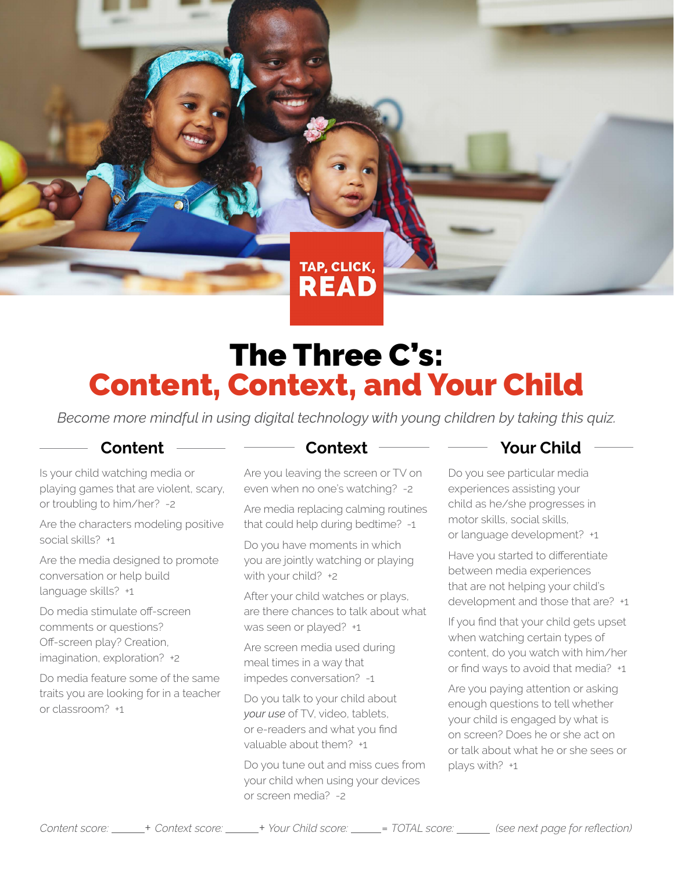TAP, CLICK, **READ** 

# The Three C's: Content, Context, and Your Child

*Become more mindful in using digital technology with young children by taking this quiz.*

### **Content**

Is your child watching media or playing games that are violent, scary, or troubling to him/her? -2

Are the characters modeling positive social skills? +1

Are the media designed to promote conversation or help build language skills? +1

Do media stimulate off-screen comments or questions? Off-screen play? Creation, imagination, exploration? +2

Do media feature some of the same traits you are looking for in a teacher or classroom? +1

### **Context**

Are you leaving the screen or TV on even when no one's watching? -2

Are media replacing calming routines that could help during bedtime? -1

Do you have moments in which you are jointly watching or playing with your child? +2

After your child watches or plays, are there chances to talk about what was seen or played? +1

Are screen media used during meal times in a way that impedes conversation? -1

Do you talk to your child about *your use* of TV, video, tablets, or e-readers and what you find valuable about them? +1

Do you tune out and miss cues from your child when using your devices or screen media? -2

# **Your Child**

Do you see particular media experiences assisting your child as he/she progresses in motor skills, social skills, or language development? +1

Have you started to differentiate between media experiences that are not helping your child's development and those that are? +1

If you find that your child gets upset when watching certain types of content, do you watch with him/her or find ways to avoid that media? +1

Are you paying attention or asking enough questions to tell whether your child is engaged by what is on screen? Does he or she act on or talk about what he or she sees or plays with? +1